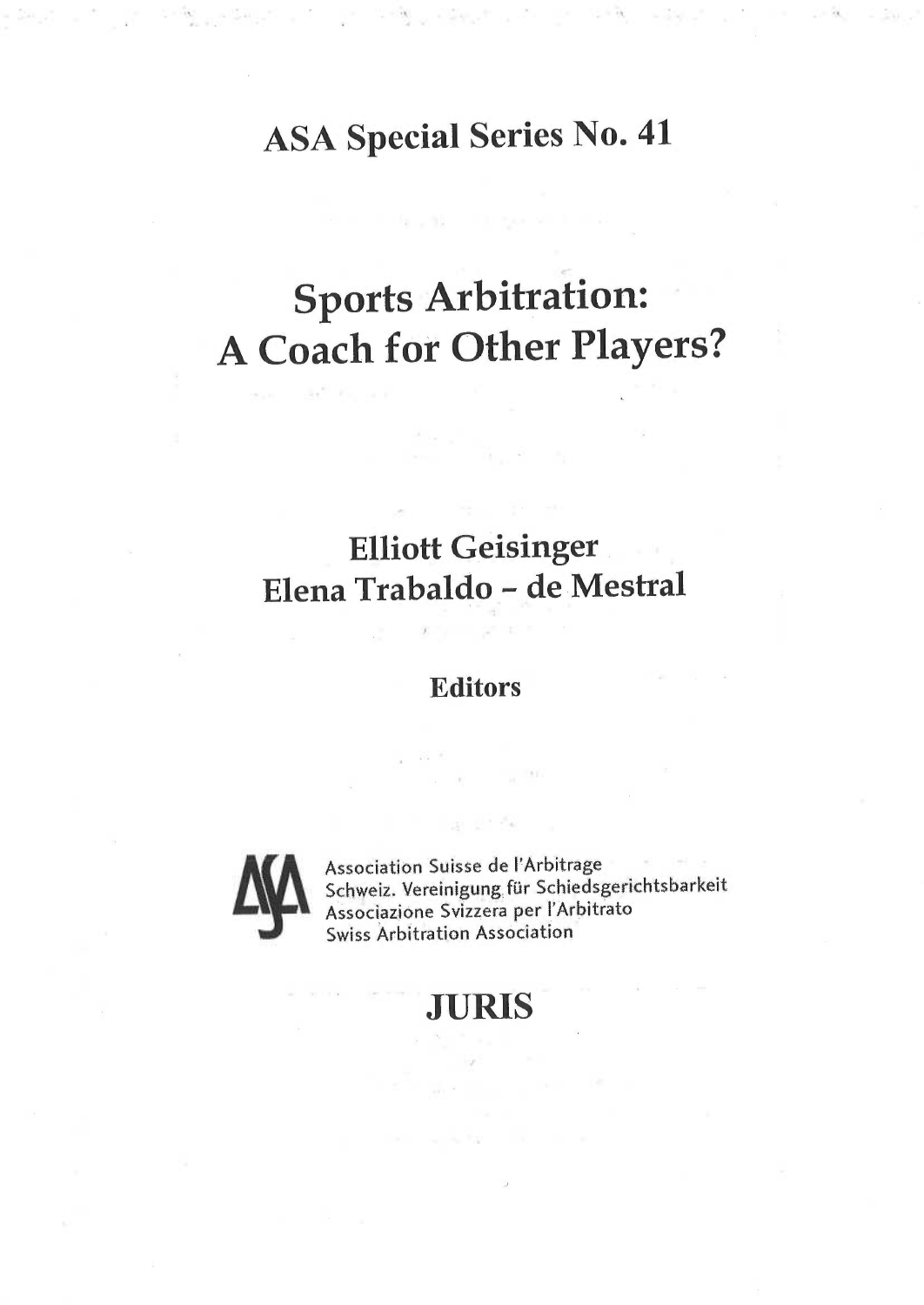# ASA Special Series No. <sup>41</sup>

# <sup>S</sup>ports Arbitration: A Coach for Other Players?

## Elliott Geisinger Elena Trabaldo - de Mestral

### **Editors**



Association Suisse de l'Arbitrage Schweiz. Vereinigung für Schiedsgerichtsbarkeit Associazione Svizzera per l'Arbitrato Swiss Arbitration Association

 $10^{-141}$ 

### **JURIS**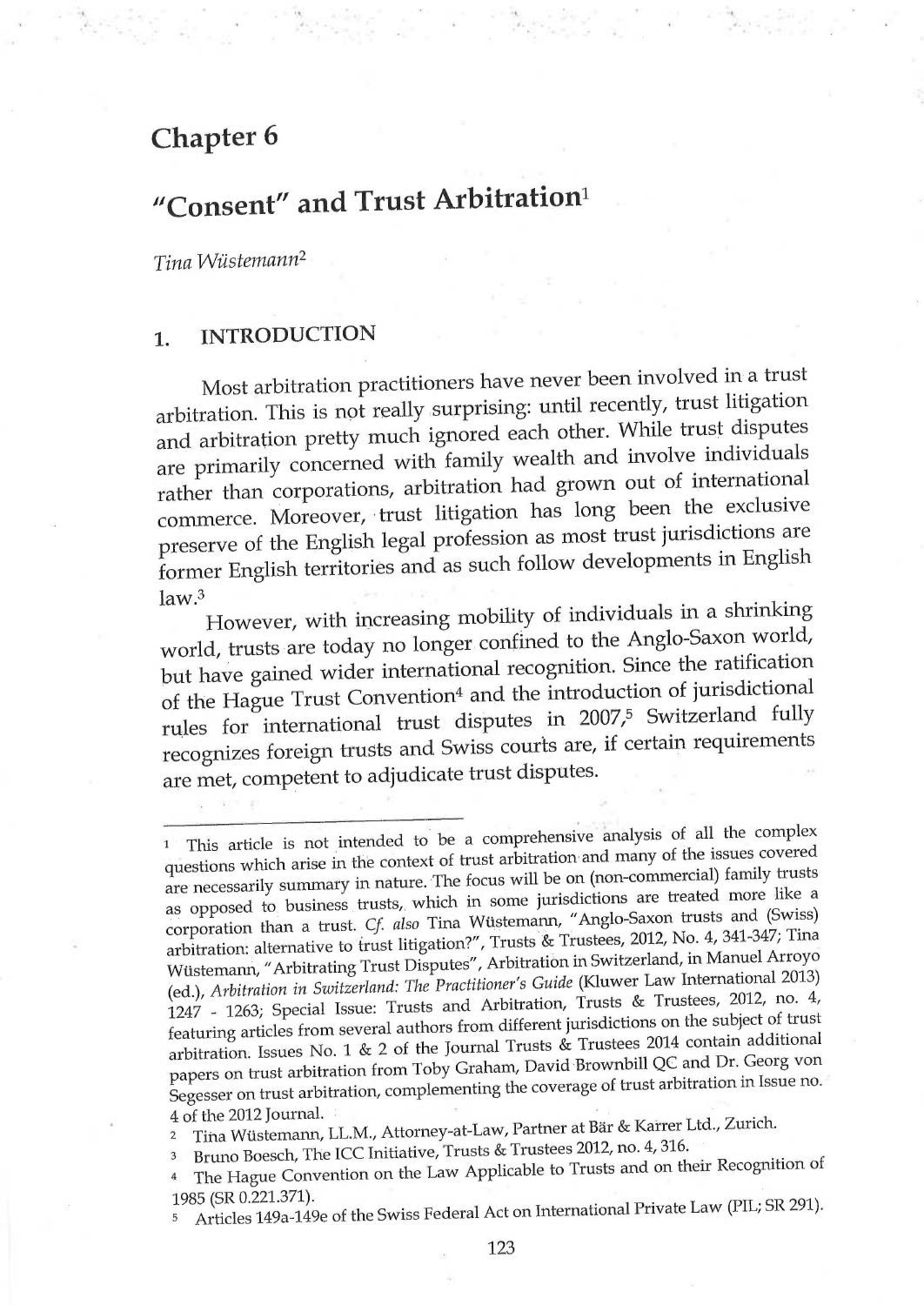### Chapter 6

# "Consent" and Trust Arbitration<sup>1</sup>

Tina Wüstemann2

### 1. INTRODUCTION

Most arbitration practitioners have never been involved in a trust arbitration. This is not really surprising: until recently, trust litigation and arbitration pretty much ignored each other. While trust disputes are primarily concerned with family wealth and involve individuals rather than corporations, arbitration had grown out of international commerce. Moreover, trust litigation has long been the exclusive preserve of the English legal profession as most trust jurisdictions are former English territoriés and as such follow developments in English  $law<sup>3</sup>$ 

However, with increasing mobility of individuals in a shrinking world, trusts are today no longer. confined to the Anglo-Saxon world, but have gained wider international recognition. Since the ratification of the Hague Trust Convention<sup>4</sup> and the introduction of jurisdictional rules for international trust disputes in 2007,<sup>5</sup> Switzerland fully recognizes foreign trusts and Swiss courts are, if certain requirements are met, competent to adjudicate trust disputes.

1 This article is not intended to be a comprehensive ânalysis of all the complex questions which arise in the context of trust arbitration and many of the issues covered are necessarily summary in nature. The focus will be on (non-commercial) family trusts as opposed to business trusts, which in some jurisdictions are treated more like a corporation than a trust. Cf. also Tina Wüsternann, "Anglo-Saxon trusts and (Swiss) arbitration: alternative to trust litigation?", Trusts & Trustees, 2012, No. 4, 341-347; Tina Wüstemann, "Arbitrating Trust Disputes", Arbitratión in Switzerland, in Manuel Arroyo (ed.), Arbitration in Switzerland: The Practitioner's Guide (Kluwer Law International 2013) 1247 - 1263; Special Issue: Trusts and Arbitration, Trusts & Trustees, 2012, no. 4, featuring articles from several authors from different jurisdictions on the subject of trust arbitration. Issues No. 1 & 2 of the Journal Trusts & Trustees 2014 contain additional papers on trust arbitration from Toby Graham, David Brownbill QC and Dr. Georg von Segesser on trust arbitration, complementing the coverage of trust arbitration in Issue no. 4 of the 2012 Journal

2 Tina Wüstemann, LL.M., Attorney-at-Law, Partner at Bär & Karrer Ltd., Zurich.

<sup>3</sup> Bruno Boesch, The ICC Initiative, Trusts & Trustees 2012, no. 4, 316.

4 The Hague Convention on the Law Applicable to Trusts and on their Recognition of 1985 (SR 0.221.371).

5 Articles 149a-149e of the Swiss Federal Act on International Private Law (PIL; SR 291).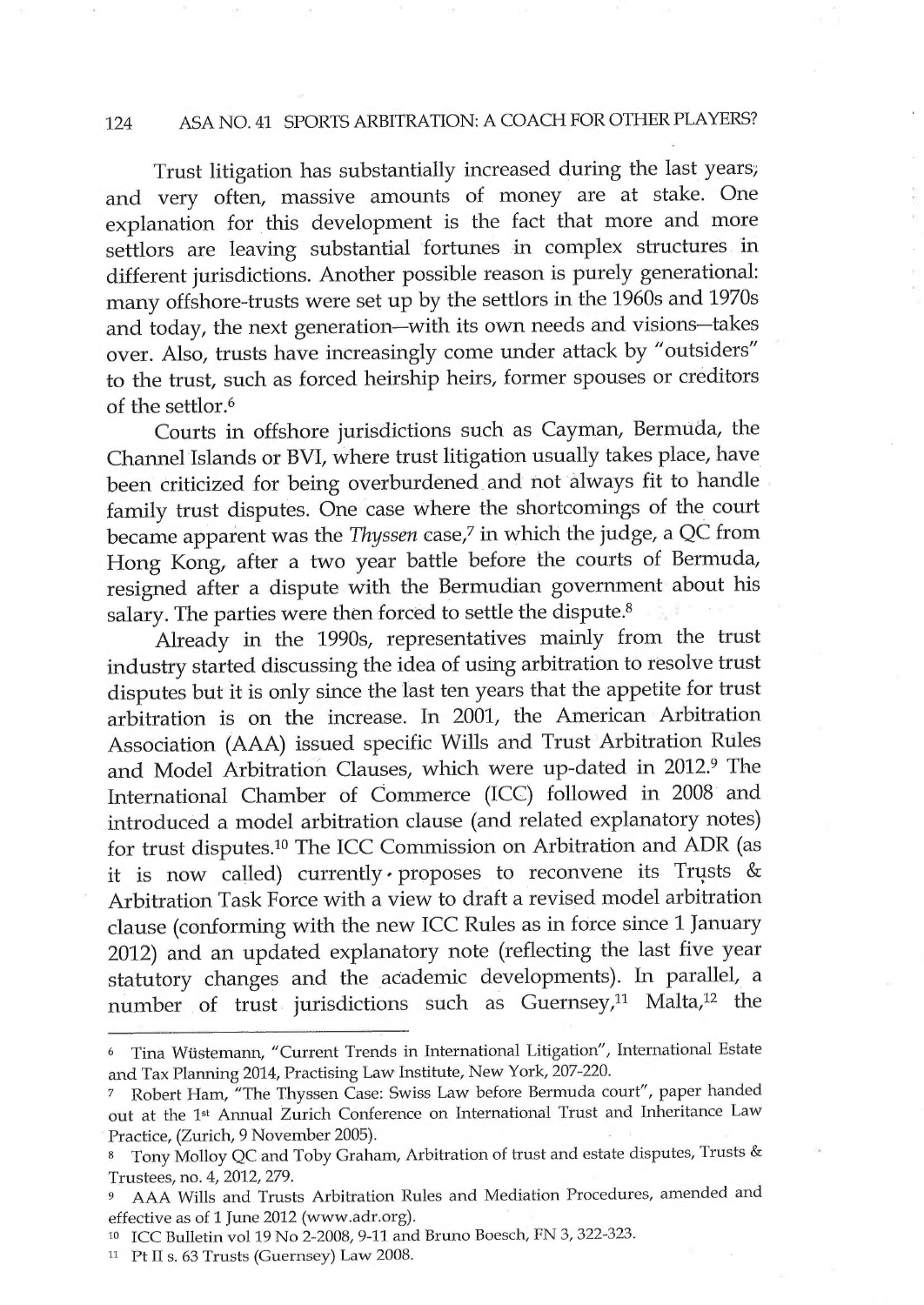#### 124 ASA NO.41 SPORTS ARBITRATION: A COACH FOR OTHER PLAYERS?

Trust litigation has substantially increased during the last years and very often, massive amounts of money are at stake. One explanation for this development is the fact that more and more settlors are leaving substantial fortunes in complex structures in different jurisdictions. Another possible reason is purely generational: many offshore-trusts were set up by the settlors in the 1960s and 1970s and today, the next generation—with its own needs and visions—takes over. Also, trusts have increasingly come under attack by "outsiders" to the trust, such as forced heirship heirs, former spouses or creditors of the settlor.ó

Courts in offshore jurisdictions such as Cayman, Bermuda, the Channel Islands or BVI, where trust litigation usually takes place, have been criticized for being overburdened and not always fit to handle family trust disputes. One case where the shortcomings of the court became apparent was the Thyssen case,<sup>7</sup> in which the judge, a QC from Hong Kong, after a two year battle before the courts of Bermuda, resigned after a dispute with the Bermudian government about his salary. The parties were then forced to settle the dispute.<sup>8</sup>

Already in the 1990s, representatives mainly from the trust industry started discussing the idea of using arbitration to resolve trust disputes but it is only since the last ten years that the appetite for trust arbitration is on the increase. In 2001, the American Arbitration Association (AAA) issued specific Wills and Trust Arbitration Rules and Model Arbitration Clauses, which were up-dated in 2012.<sup>9</sup> The International Chamber of Commerce (ICC) followed in 2008 and introduced a model arbitration clause (and related explanatory notes) for trust disputes.10 The ICC Commission on Arbitration and ADR (as it is now called) currently proposes to reconvene its Trusts & Arbitration Task Force with a view to draft a revised model arbitration clause (conforming with the new ICC Rules as in force since 1 January 2012) and an updated explanatory note (reflecting the last five year statutory changes and the academic developments). In parallel, a number of trust jurisdictions such as Guernsey,11 Malta,12 the

 $11$  Pt II s. 63 Trusts (Guernsey) Law 2008.

<sup>6</sup>Tina Wüstemann, "Current Trends in International Litigation', International Estate and Tax Planning 2014, Practising Law Institute, New York, 207-220.

<sup>~</sup> Robert Ham, "The Thyssen Case: Swiss Law before Bermuda court", paper handed out at the 1<sup>st</sup> Annual Zurich Conference on International Trust and Inheritance Law Practice, (Zurich, 9 November 2005).

<sup>&</sup>lt;sup>8</sup> Tony Molloy QC and Toby Graham, Arbitration of trust and estate disputes, Trusts & Trustees, no. 4, 2012, 279.

<sup>9</sup>AAA Wills and Trusts Arbitration Rules and Mediation Procedures, amended and effective as of 1 June 2012 (www.adr.org).

<sup>&</sup>lt;sup>10</sup> ICC Bulletin vol 19 No 2-2008, 9-11 and Bruno Boesch, FN 3, 322-323.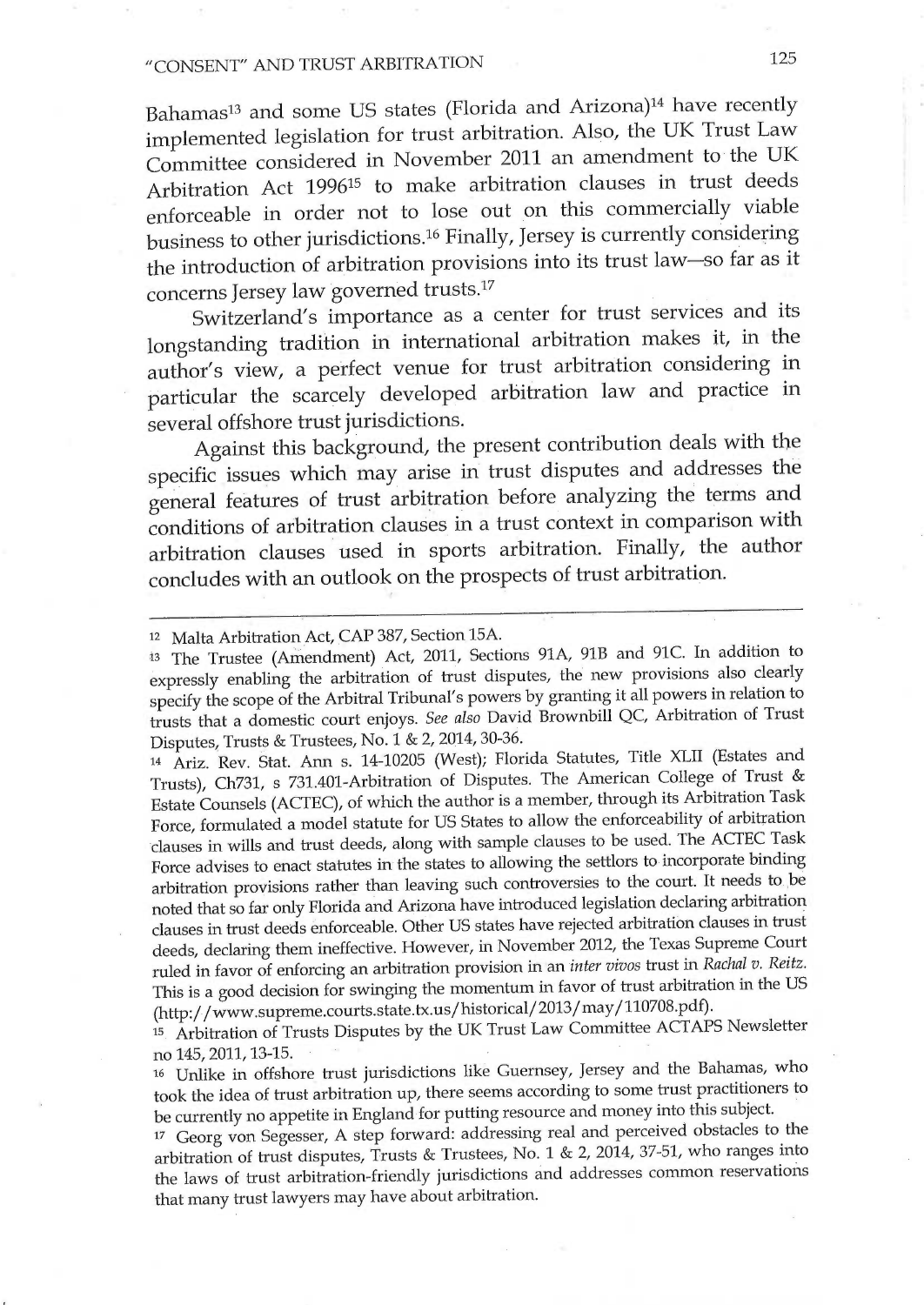### "CONSENT" AND TRUST ARBITRATION <sup>125</sup>

Bahamas<sup>13</sup> and some US states (Florida and Arizona)<sup>14</sup> have recently implemented legislation for trust arbitration. Also, the UK Trust Law Committee considered in November 2011 an amendment to the UK Arbitration Act 199615 to make arbitration clauses in trust deeds enforceable in order not to lose out on this commercially viable business to other jurisdictions.1ó Finally, Jersey is currently considering the introduction of arbitration provisions into its trust law—so far as it concerns Jersey law governed trusts.17

Switzerland's importance as a center for trust services and its longstanding tradition in international arbitration makes it, in the author's view, a perfect venue for trust arbitration considering in particular the scarcely developed arbitration law and practice in several offshore trust jurisdictions.

Against this background, the present contribution deals with the specific issues which may arise in trust disputes and addresses the general features of trust arbitration before analyzing thé terms and conditions of arbitration clauses in a trust context in comparison with arbitration clauses used in sports arbitration. Finally, the author concludes with an outlook on the prospects of trust arbitration.

<sup>14</sup>Ariz. Rev. Stat. Ann s. 14-10205 (West); Florida Statutes, Title XLII (Estates and Trusts), Ch731, s 731.401-Arbitration of Disputes. The American College of Trust & Estate Counsels (ACTEC), of which the author is a member, through its Arbitration Task Force, formulated a model statute for US States to allow the enforceability of arbitration clauses in wills and trust deeds, along with sample clauses to be used. The ACTEC Task Force advises to enact statutes in the states to allowing the settlors to incorporate binding arbitration provisions rather than leaving such controversies to the court. It needs to bé noted that so far only Florida and Arizona have introduced legislation declaring arbitration clauses in trust deeds énforceable. Other US states have rejected arbitratiòn clauses in trust deeds, declaring them ineffective. However, in November 2012, the Texas Supreme Court ruled in favor of enforcing an arbitration provision in an inter vivos trust in Rachal v. Reitz. This is a good decision for swinging the momentum in favor of trust arbitration in the US (http://www.supreme.courts.state.tx.us/historical/2013/may/110708.pdf).

is Arbitration of Trusts Disputes by the UK Trust Law Committee ACTAPS Newsletter no 145, 2011,13-15.

<sup>16</sup> Unlike in offshore trust jurisdictions like Guernsey, Jersey and the Bahamas, who took the idea of trust arbitration up, there seems according to some trust practitioners to be currently no appetite in England for putting resource and money into this subject.

<sup>17</sup>Georg von Segesser, A step forward: addressing real and perceived obstacles to the arbitration of trust disputes, Trusts & Trustees, No. 1 & 2, 2014, 37-51, who ranges into the laws of trust arbitration-friendly jurisdictions ând addresses common reservations that many trust lawyers may have about arbitration.

<sup>12</sup> Malta Arbitration Act, ÇAP 387, Section 15A.

<sup>13</sup>The Trustee (Amendment) Act, 2011, Sections 91A, 91B and 91C. In addition to expressly enabling the arbitration of trust disputes, thé new provisions also clearly specify the scope of the Arbitral Tribunal's powers by granting it all powers in relation to trusts that a domestic court enjoys. See also David Brownbill QC, Arbitration of Trust Disputes, Trusts & Trustees, No. 1 & 2, 2014, 30-36.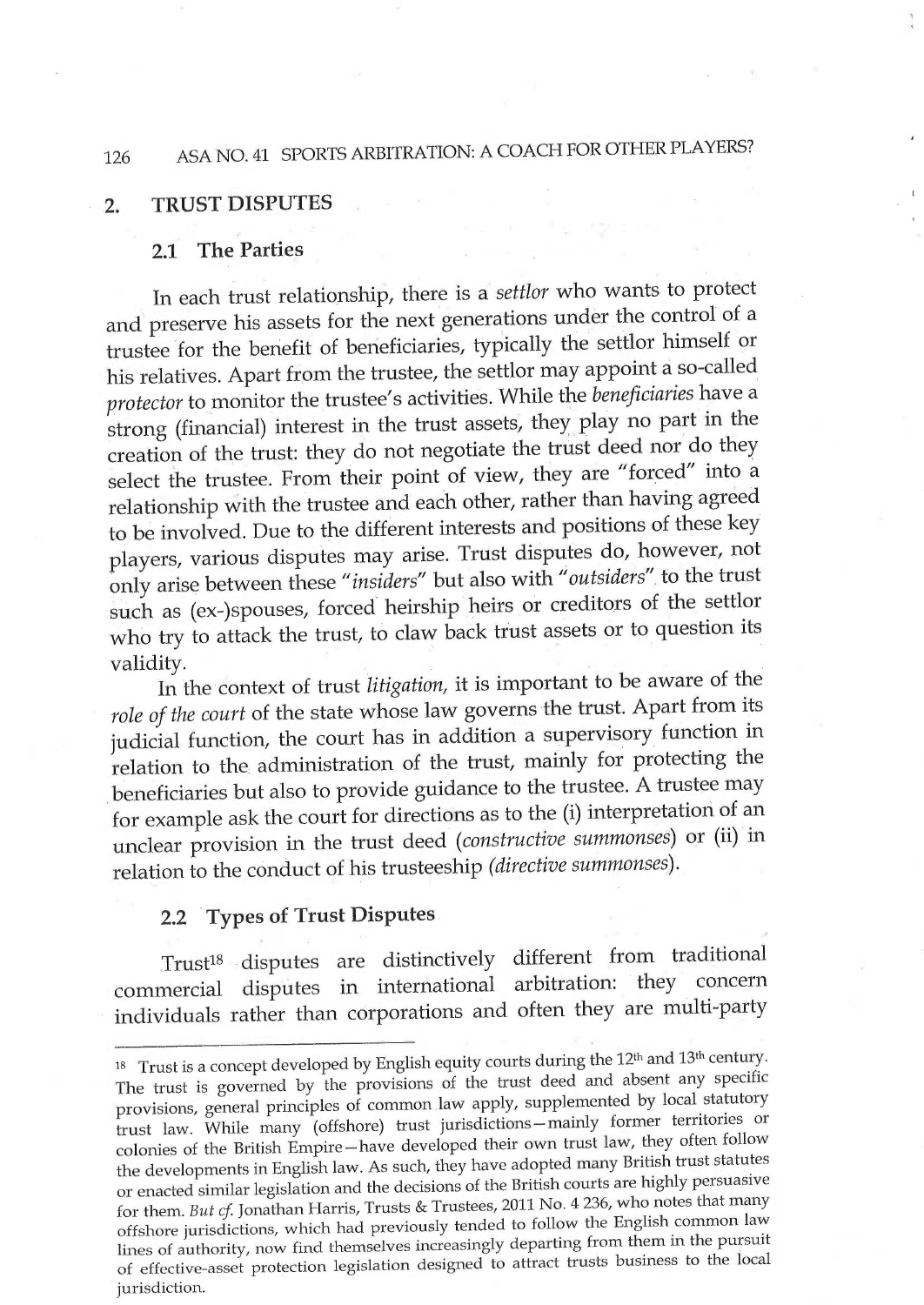### 126 ASA NO.41 SPORTS ARBITRATION: A COACH FOR OTHER PLAYERS?

### 2. TRUST DISPUTES

#### 2.1 The Parties

In each trust relationship, there is a settlor who wants to protect and preserve his assets for the next generations under the control of <sup>a</sup> trustee for the benefit of beneficiaries, typically the settlor himself or his relatives. Apart from the trustee, the settlor may appoint a so-called protector to monitor the trustee's activities. While the beneficiaries have a strong (financial) interest in the trust assets, they play no part ín the creation of the trust: they do not negotiate the trust deed nor do they select the trustee. From their point of view, they are "forced" into <sup>à</sup> relationship with the trustee and each other, rather than having agreed to be involved. Due to the different interests and positions of these key players, various disputes may arise. Trust dispufies do, however, not only arise between these "insiders" but also with "outsiders" fo the trust such as (ex-)spouses, forced heirship heirs or creditors of the settlor who try to attack the trust, to claw back trust assets or to question its validity.

In the context of trust litigation, it is important to be aware of thé role of the court of the state whose law governs the trust. Apart from its judicial function, the court has in addition a supervisory function in relation to the administration of the trust, mainly for protecting the beneficiaries but also to provide guidance to the trustee. A trustee may for example ask the court for directions as to the (i) interpretation of an unclear provision in the trust deed (constructive summonses) or (ïi) in relation to the conduct of his trusteeship (directive summonses).

#### 2.2 Types of Trust Disputes

Trust<sup>18</sup> disputes are distinctively different from traditional<br>mercial disputes in international arbitration: they concern commercial disputes in international arbitration: individuals rather than corporations and often they are multi-party

 $18$  Trust is a concept developed by English equity courts during the  $12<sup>th</sup>$  and  $13<sup>th</sup>$  century. The trust is governed by the provisions of the trust deed and absent any specific provisions, general principles of common law apply, supplemented by local statutory trust law. While many (offshore) trust jurisdictions — mainly former territories or colonies of the British Empire —have developed their own trust law, they often follow the developments in English law. As such, they have adopted many British trust statutes or enacted similar legislation and the decisions of the British courts are highly persuasive for them. But cf. Jonathan Harris, Trusts & Trustees, 2011 No. 4 236, who notes that many offshore jurisdictions, which had previously tended to follow the English common law lines of authority, now find themselves increasingly departing from them in the pursuit of effective-asset protection legislation designed to attract trusts business to the local jurisdiction.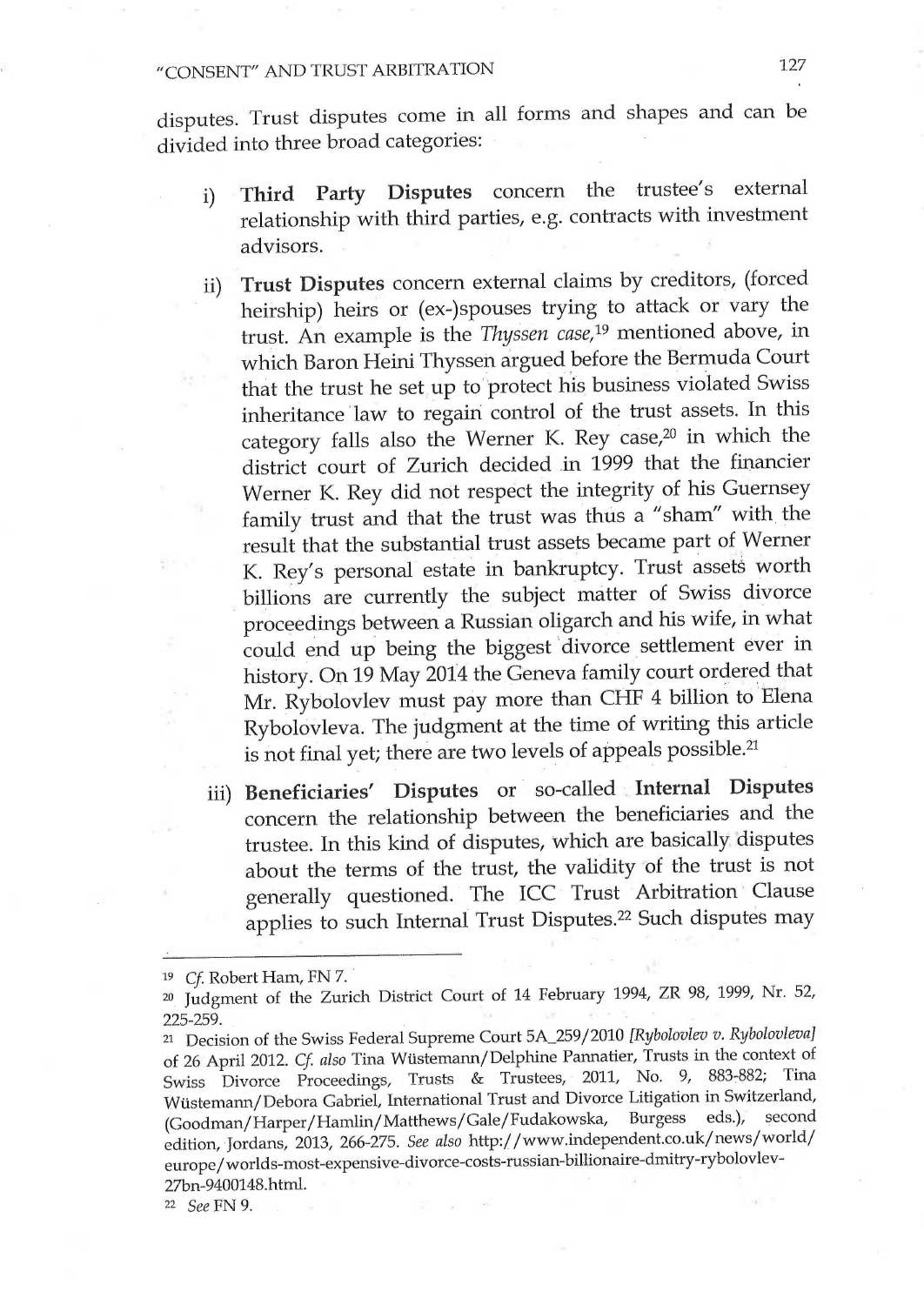### "CONSENT" AND TRUST ARBITRATION <sup>127</sup>

disputes. Trust disputes come in all forms and shapes and can be divided into three broad categories:

- i) Third Party Disputes concern the trustee's external relationship with third parties, e.g. contracts with investment advisors.
- ii) Trust Disputes concern external claims by creditors, (forced heirship) heirs or (ex-)spouses trying to attack or vary the trust. An example is the Thyssen case,19 mentioned above, in which Baron Heini Thyssen argued before the Bermuda Court that the trust he set up to protect his business violated Swiss inheritance law to regain control of the trust assets. In this category falls also the Werner K. Rey case,<sup>20</sup> in which the district court of Zurich decided in 1999 that the financier Werner K. Rey did not respect the integrity of his Guernsey family trust and that the trust was thus a "sham" with the result that the substantial trust assets became part of Werner K. Rey's personal estate in bankruptcy. Trust assets worth billions are currently the subject matter of Swiss divorce proceedings between a Russian oligarch and his wife, in what could end up being the biggest `divorce settlement ever in history. On 19 May 2014 the Geneva family court ordered that Mr. Rybolovlev must pây more than CHF 4 billion to Elena Rybolovleva. The judgment at the time of writing this article is not final yet; there are two levels of appeals possible.<sup>21</sup>
- iii) Beneficiaries' Disputes or so-called .Internal Disputes concern the relationship between the beneficiaries and the trustee. In this kind of disputes, which are basically disputes about the terms of the trust, the validity of the trust is not generally questioned. The ICC Trust Arbitration Clause applies to such Internal Trust Disputes.22 Such disputes may

19 Cf. Robert Ham, FN 7.

<sup>20.</sup> Judgment of the Zurich District Court of 14 February 1994, ZR 98, 1999, Nr. 52, 225-259.

<sup>&</sup>lt;sup>21</sup> Decision of the Swiss Federal Supreme Court 5A\_259/2010 [Rybolovlev v. Rybolovleva] of 26 April 2012. Cf. also Tina Wüstemann/Delphine Pannatier, Trusts in the context of Swiss Divorce Proceedings, Trusts & Trustees, 2011, No. 9, 883-882; Tina Wüstemann/Debora Gabriel, International Trust and Divorce Litigation in Switzerland,<br>(Goodman/Harper/Hamlin/Matthews/Gale/Fudakowska, Burgess eds.), second (Goodman/Harper/Hamlin/Matthews/Gale/Fudakowska, edition, Jordans, 2013, 266-275. See also http://www.independent.co.uk/news/world/ europe/worlds-most-expensive-divorce-costs-russian-billionaire-dmitry-rybolovlev-27bn-9400148.htm1.

zz See FN 9.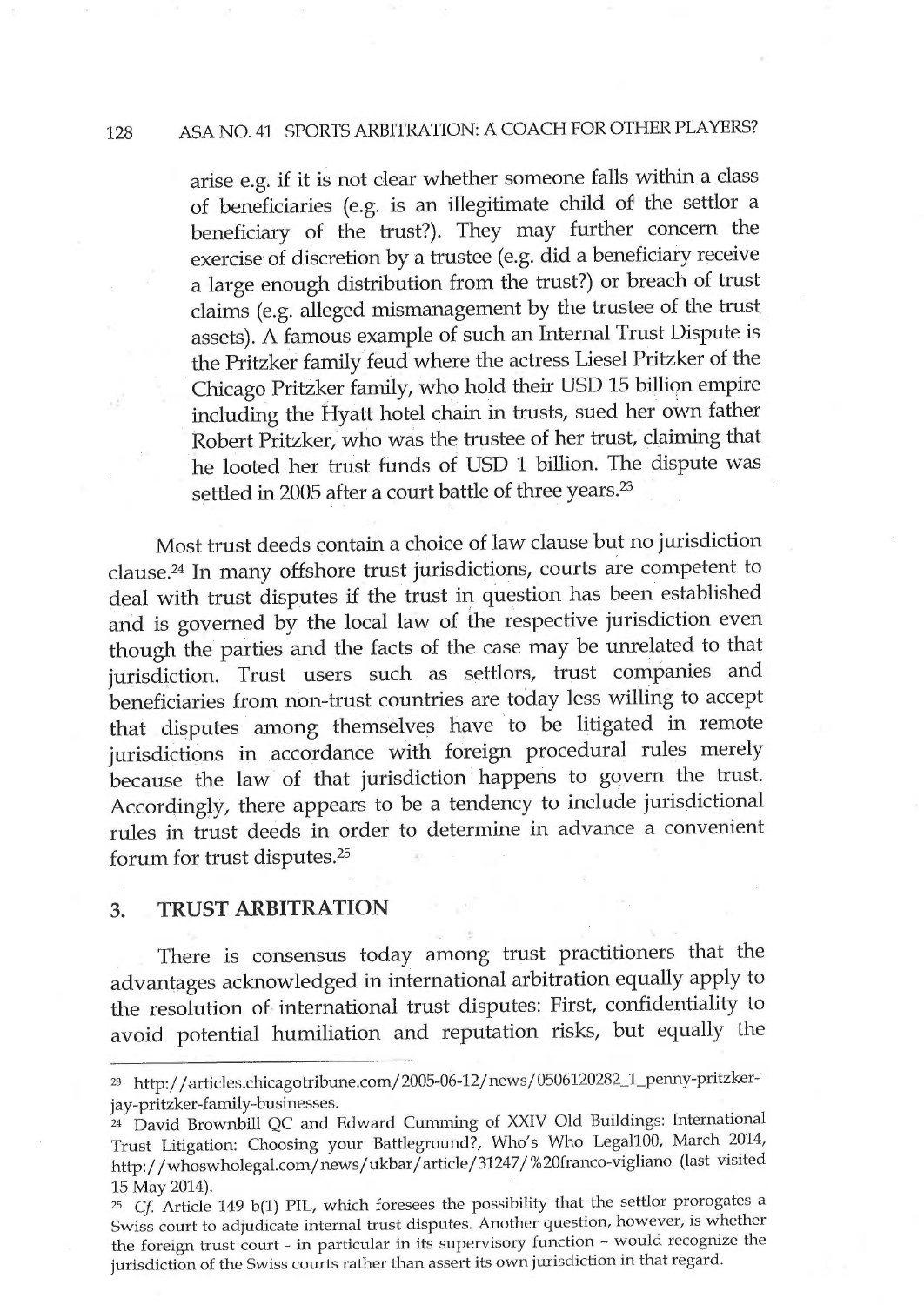### 128 ASA NO.41 SPORTS ARBITRATION: A COACH FOR OTHER PLAYERS?

arise e.g. if it is not clear whether someone falls within a class of beneficiaries (e.g. is an illegitimate child of the settlor <sup>a</sup> beneficiary of the trust?). They may further concern the exercise of discretion by a trustee (e.g. did a beneficiary receive <sup>a</sup>large enough distribution from the trust?) or breach of trust claims (e.g. alleged mismanagement by the trustee of the trust. assets). A famous example of such an Internal Trust Dispute is the Pritzker family féud where the actress Liesel Pritzker of the Chicago Pritzker family, who hold their USD 15 billion empire including the Hyatt hotel chain in trusts, sued her own father Robert Pritzker, who was the trustee of her trust, çlaiming that he looted her trust fùnds of USD 1 billion. The dispute was settled in 2005 after a court battle of three years.<sup>23</sup>

Most trust deeds contain a choice of law clause but no jurisdiction clause.24 In many offshore trust jurisdictions, courts are competent to deal with trust disputes if the trust in question has been established and is governed by the local law of the respective jurisdiction even though the parties and the facts of the case may be unrelated to that jurisdiction. Trust users such as settlors, trust companies and beneficiaries from nòn-trust countries are tóday less willing to accept that disputes among themselves have to be litigated in remote jurisdictions in accordance with foreign procedural rules merely because the law of that jurisdiction happens to govern the trust. Accordinglÿ, there appears to be a tendency to include jurisdictional rules in trust deeds in order to determine in advance a convenient forum for trust disputes.25

#### 3. TRUST ARBITRATION

There is consensus today among trust practitioners that the advantages acknowledged in international arbitration equally apply to the resolution of international trust disputes: First, confidentiality to avoid potential humiliation and reputation risks, but equally the

z3 http://articles.chicagotribune.com/2005-06-12/news/0506120282\_]\_penny-pritzkerjay-pritzker-family-businesses.

z4 David Brownbill QC and Edward Cumming of XXIV Old Buildings: International Trust Litigation: Choosing your Battleground?, Who's Who Legal100, March 2014, http://whoswholegal.com/news/ukbar/article/31247/%20franco-vigliano (last visited 15 May 2014).

zs Cf. Article 149 b(1) PIL, which foresees the possibility that the settlor prorogates <sup>a</sup> Swiss court to adjudicate internal trust disputes. Another question, however, is whether the foreign trust court - in particular in its supervisory function - would recognize the jurisdiction of the Swiss courts rather than assert its own jurisdiction in that regard.